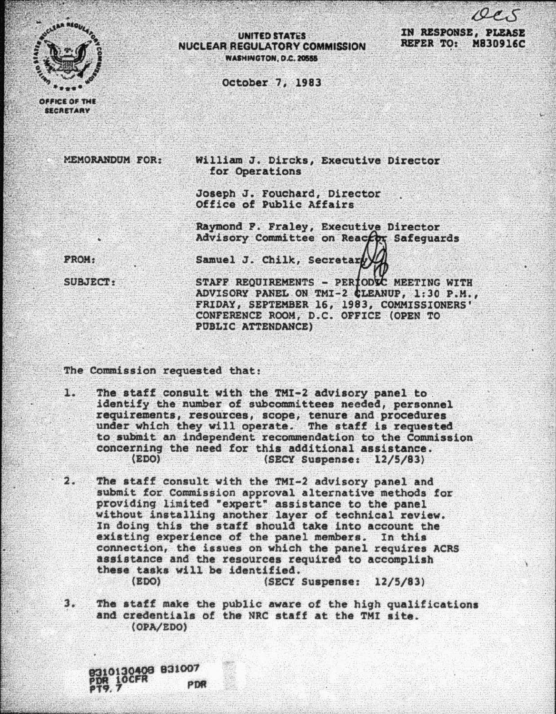

**SECRETARY** 

## **UNITED STATES** NUCLEAR REGULATORY COMMISSION **WASHINGTON, D.C. 20555**

IN RESPONSE, PLEASE REFER TO: M830916C

October 7, 1983

MEMORANDUM FOR: William J. Dircks. Executive Director for Operations

> Joseph J. Fouchard, Director Office of Public Affairs

Raymond P. Fraley, Executive Director Advisory Committee on Reaceor Safeguards

**PROM:** 

Samuel J. Chilk, Secretary

SUBJECT:

STAFF REQUIREMENTS - PERIODSC MEETING WITH ADVISORY PANEL ON TMI-2 CLEANUP, 1:30 P.M., FRIDAY, SEPTEMBER 16, 1983, COMMISSIONERS' CONFERENCE ROOM/ D.C. OFFICE (OPEN TO PUBLIC ATTENDANCE)

The Commission requested that:

1. The staff consult with the TMI-2 advisory panel to.<br>identify the number of subcommittees needed, personnel requirements, resources, scope, tenure and procedures<br>under which they will operate. The staff is requested to submit an independent recommendation to the Commission concerning the need for this additional assistance.<br>(EDO) (SECY Suspense: 12/5/83)

2. The staff consult with the TMI-2 advisory panel and submit for Commission approval alternative methods for<br>providing limited "expert" assistance to the panel without installing another layer of technical review.<br>In doing this the staff should take into account the existing experience of the panel members. In this connection, the issues on which the panel requires ACRS assistance and the resources required to accomplish these tasks will be identified. (SECY Suspense: 12/5/83)

3. The staff make the public aware of the high qualifications and credentials of the NRC staff at the TMI site. (OPA/EDO)

30408 831007 PDR